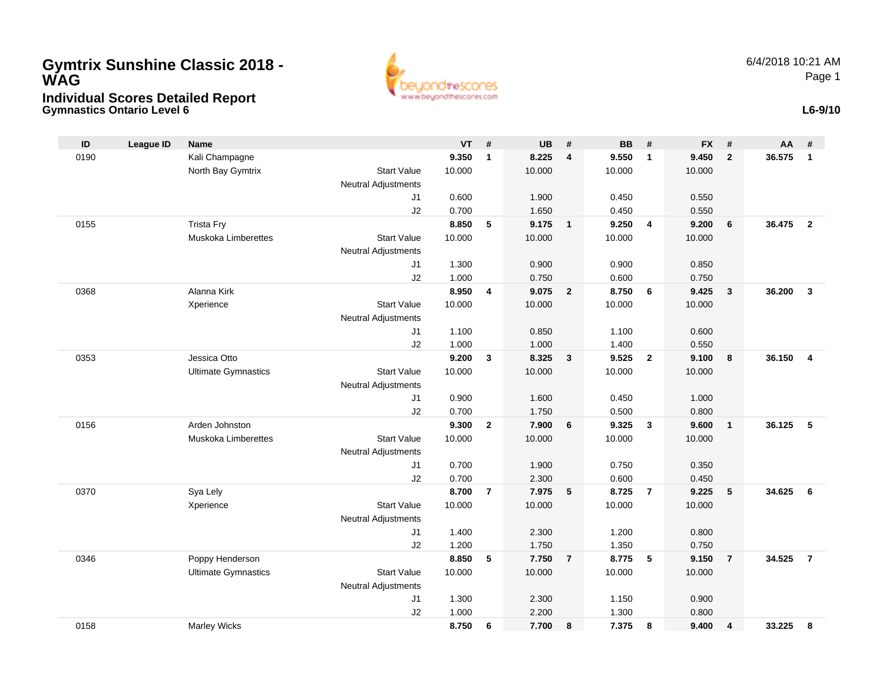## **Gymnastics Ontario Level 6 Individual Scores Detailed Report Gymtrix Sunshine Classic 2018 - WAG**



**L6-9/10**

| ID   | <b>League ID</b> | <b>Name</b>                |                            | $VT$ # |                | <b>UB</b> | #                       | <b>BB</b> | #              | <b>FX</b> | #              | AA     | #                       |
|------|------------------|----------------------------|----------------------------|--------|----------------|-----------|-------------------------|-----------|----------------|-----------|----------------|--------|-------------------------|
| 0190 |                  | Kali Champagne             |                            | 9.350  | $\mathbf{1}$   | 8.225     | $\overline{\mathbf{4}}$ | 9.550     | $\mathbf{1}$   | 9.450     | $\overline{2}$ | 36.575 | $\mathbf{1}$            |
|      |                  | North Bay Gymtrix          | <b>Start Value</b>         | 10.000 |                | 10.000    |                         | 10.000    |                | 10.000    |                |        |                         |
|      |                  |                            | Neutral Adjustments        |        |                |           |                         |           |                |           |                |        |                         |
|      |                  |                            | J1                         | 0.600  |                | 1.900     |                         | 0.450     |                | 0.550     |                |        |                         |
|      |                  |                            | J2                         | 0.700  |                | 1.650     |                         | 0.450     |                | 0.550     |                |        |                         |
| 0155 |                  | <b>Trista Fry</b>          |                            | 8.850  | 5              | 9.175     | $\overline{1}$          | 9.250     | $\overline{4}$ | 9.200     | 6              | 36.475 | $\overline{2}$          |
|      |                  | <b>Muskoka Limberettes</b> | <b>Start Value</b>         | 10.000 |                | 10.000    |                         | 10.000    |                | 10.000    |                |        |                         |
|      |                  |                            | Neutral Adjustments        |        |                |           |                         |           |                |           |                |        |                         |
|      |                  |                            | J1                         | 1.300  |                | 0.900     |                         | 0.900     |                | 0.850     |                |        |                         |
|      |                  |                            | J2                         | 1.000  |                | 0.750     |                         | 0.600     |                | 0.750     |                |        |                         |
| 0368 |                  | Alanna Kirk                |                            | 8.950  | 4              | 9.075     | $\overline{2}$          | 8.750     | 6              | 9.425     | $\mathbf{3}$   | 36.200 | $\mathbf{3}$            |
|      |                  | Xperience                  | <b>Start Value</b>         | 10.000 |                | 10.000    |                         | 10.000    |                | 10.000    |                |        |                         |
|      |                  |                            | <b>Neutral Adjustments</b> |        |                |           |                         |           |                |           |                |        |                         |
|      |                  |                            | J1                         | 1.100  |                | 0.850     |                         | 1.100     |                | 0.600     |                |        |                         |
|      |                  |                            | J2                         | 1.000  |                | 1.000     |                         | 1.400     |                | 0.550     |                |        |                         |
| 0353 |                  | Jessica Otto               |                            | 9.200  | 3              | 8.325     | 3                       | 9.525     | $\overline{2}$ | 9.100     | 8              | 36.150 | $\overline{\mathbf{4}}$ |
|      |                  | <b>Ultimate Gymnastics</b> | <b>Start Value</b>         | 10.000 |                | 10.000    |                         | 10.000    |                | 10.000    |                |        |                         |
|      |                  |                            | <b>Neutral Adjustments</b> |        |                |           |                         |           |                |           |                |        |                         |
|      |                  |                            | J <sub>1</sub>             | 0.900  |                | 1.600     |                         | 0.450     |                | 1.000     |                |        |                         |
|      |                  |                            | J2                         | 0.700  |                | 1.750     |                         | 0.500     |                | 0.800     |                |        |                         |
| 0156 |                  | Arden Johnston             |                            | 9.300  | $\overline{2}$ | 7.900     | 6                       | 9.325     | $\mathbf{3}$   | 9.600     | $\mathbf{1}$   | 36.125 | 5                       |
|      |                  | <b>Muskoka Limberettes</b> | <b>Start Value</b>         | 10.000 |                | 10.000    |                         | 10.000    |                | 10.000    |                |        |                         |
|      |                  |                            | Neutral Adjustments        |        |                |           |                         |           |                |           |                |        |                         |
|      |                  |                            | J1                         | 0.700  |                | 1.900     |                         | 0.750     |                | 0.350     |                |        |                         |
|      |                  |                            | J2                         | 0.700  |                | 2.300     |                         | 0.600     |                | 0.450     |                |        |                         |
| 0370 |                  | Sya Lely                   |                            | 8.700  | $\overline{7}$ | 7.975     | 5                       | 8.725     | $\overline{7}$ | 9.225     | 5              | 34.625 | 6                       |
|      |                  | Xperience                  | <b>Start Value</b>         | 10.000 |                | 10.000    |                         | 10.000    |                | 10.000    |                |        |                         |
|      |                  |                            | Neutral Adjustments        |        |                |           |                         |           |                |           |                |        |                         |
|      |                  |                            | J1                         | 1.400  |                | 2.300     |                         | 1.200     |                | 0.800     |                |        |                         |
|      |                  |                            | J2                         | 1.200  |                | 1.750     |                         | 1.350     |                | 0.750     |                |        |                         |
| 0346 |                  | Poppy Henderson            |                            | 8.850  | 5              | 7.750     | $\overline{7}$          | 8.775     | -5             | 9.150     | $\overline{7}$ | 34.525 | $\overline{7}$          |
|      |                  | <b>Ultimate Gymnastics</b> | <b>Start Value</b>         | 10.000 |                | 10.000    |                         | 10.000    |                | 10.000    |                |        |                         |
|      |                  |                            | Neutral Adjustments        |        |                |           |                         |           |                |           |                |        |                         |
|      |                  |                            | J <sub>1</sub>             | 1.300  |                | 2.300     |                         | 1.150     |                | 0.900     |                |        |                         |
|      |                  |                            | J2                         | 1.000  |                | 2.200     |                         | 1.300     |                | 0.800     |                |        |                         |
| 0158 |                  | <b>Marley Wicks</b>        |                            | 8.750  | 6              | 7.700     | 8                       | 7.375     | 8              | 9.400     | 4              | 33.225 | 8                       |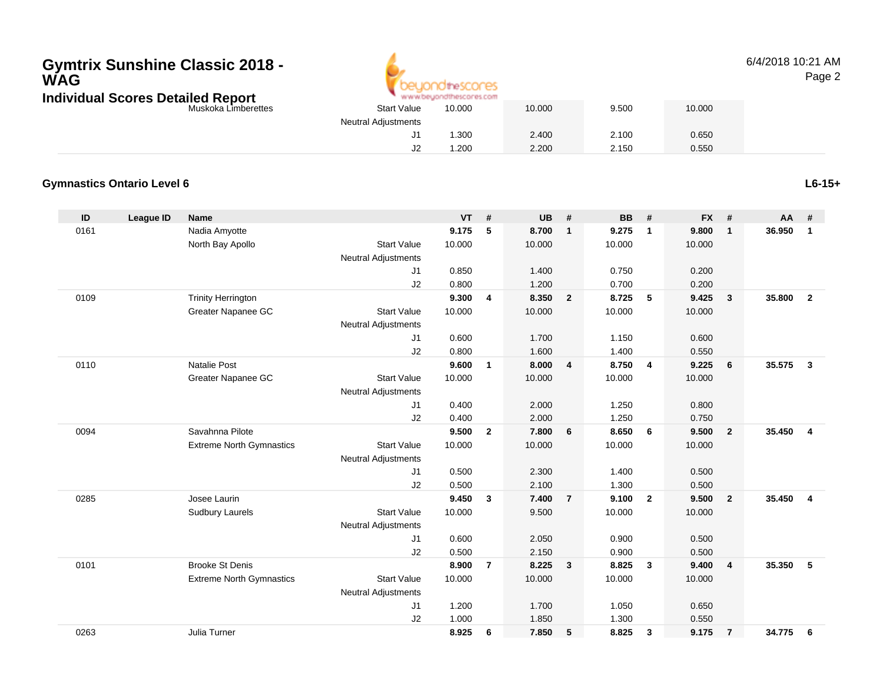### **Gymtrix Sunshine Classic 2018 -WAGIndividual Scores Detailed Report**



#### 6/4/2018 10:21 AMPage 2

| etailed Report      |                            | www.beyondthescores.com |        |       |        |
|---------------------|----------------------------|-------------------------|--------|-------|--------|
| Muskoka Limberettes | <b>Start Value</b>         | 10.000                  | 10.000 | 9.500 | 10.000 |
|                     | <b>Neutral Adjustments</b> |                         |        |       |        |
|                     | J1                         | .300                    | 2.400  | 2.100 | 0.650  |
|                     | J2                         | .200                    | 2.200  | 2.150 | 0.550  |

### **Gymnastics Ontario Level 6**

**ID League ID Name VT # UB # BB # FX # AA #** 0161 Nadia Amyotte **9.175 <sup>5</sup> 8.700 <sup>1</sup> 9.275 <sup>1</sup> 9.800 <sup>1</sup> 36.950 <sup>1</sup>** North Bay Apollo Start Value 10.000 10.000 10.000 10.000 Neutral Adjustments J1 0.850 1.400 0.750 0.200 J2 0.800 1.200 0.700 0.200 0109 Trinity Herrington **9.300 <sup>4</sup> 8.350 <sup>2</sup> 8.725 <sup>5</sup> 9.425 <sup>3</sup> 35.800 <sup>2</sup>** Greater Napanee GCC 3tart Value 10.000 10.000 10.000 10.000 10.000 Neutral Adjustments J1 0.600 1.700 1.150 0.600 J2 0.800 1.600 1.400 0.550 0110 Natalie Post **9.600 <sup>1</sup> 8.000 <sup>4</sup> 8.750 <sup>4</sup> 9.225 <sup>6</sup> 35.575 <sup>3</sup>** Greater Napanee GCC 3tart Value 10.000 10.000 10.000 10.000 10.000 Neutral Adjustments J1 0.400 2.000 1.250 0.800 J2 0.400 2.000 1.250 0.750 0094 Savahnna Pilote **9.500 <sup>2</sup> 7.800 <sup>6</sup> 8.650 <sup>6</sup> 9.500 <sup>2</sup> 35.450 <sup>4</sup>** Extreme North Gymnastics Start Valuee 10.000 10.000 10.000 10.000 Neutral Adjustments J1 0.500 2.300 1.400 0.500 J2 0.500 2.100 1.300 0.500 0285 Josee Laurin **9.450 <sup>3</sup> 7.400 <sup>7</sup> 9.100 <sup>2</sup> 9.500 <sup>2</sup> 35.450 <sup>4</sup>** Sudbury Laurels Start Valuee 10.000 9.500 10.000 10.000 Neutral Adjustments J1 0.600 2.050 0.900 0.500 J2 0.500 2.150 0.900 0.500 0101 Brooke St Denis **8.900 <sup>7</sup> 8.225 <sup>3</sup> 8.825 <sup>3</sup> 9.400 <sup>4</sup> 35.350 <sup>5</sup>** Extreme North Gymnastics Start Valuee 10.000 10.000 10.000 10.000 Neutral Adjustments J1 1.200 1.700 1.050 0.650 J2 1.000 1.850 1.300 0.550 0263Julia Turner **8.925 <sup>6</sup> 7.850 <sup>5</sup> 8.825 <sup>3</sup> 9.175 <sup>7</sup> 34.775 <sup>6</sup>**

**L6-15+**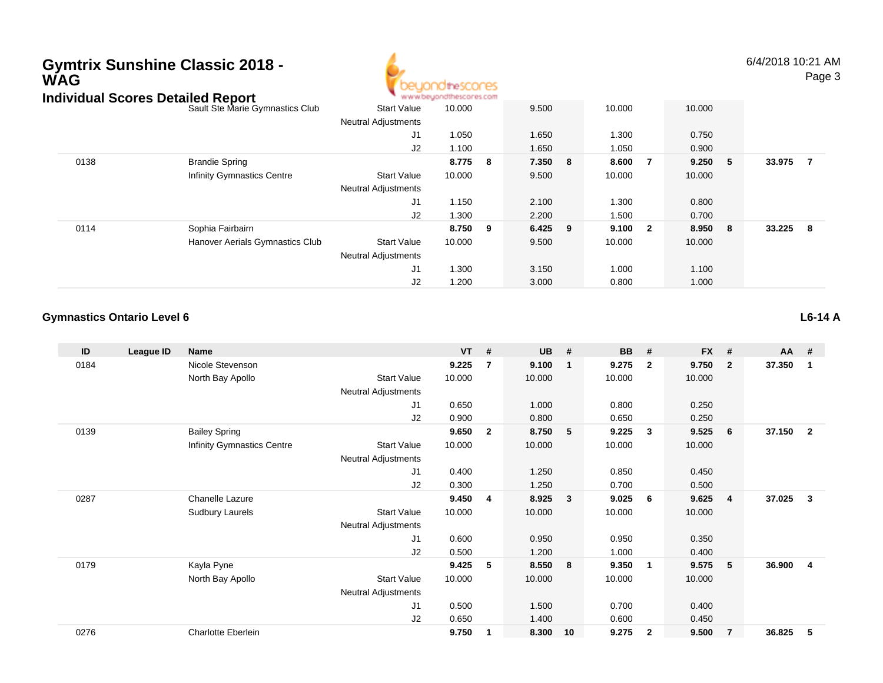# **Gymtrix Sunshine Classic 2018 - WAG**



6/4/2018 10:21 AMPage 3

|      | Individual Scores Detailed Report |                            | www.beyondthescores.com |     |       |   |        |     |         |        |                         |
|------|-----------------------------------|----------------------------|-------------------------|-----|-------|---|--------|-----|---------|--------|-------------------------|
|      | Sault Ste Marie Gymnastics Club   | <b>Start Value</b>         | 10.000                  |     | 9.500 |   | 10.000 |     | 10.000  |        |                         |
|      |                                   | <b>Neutral Adjustments</b> |                         |     |       |   |        |     |         |        |                         |
|      |                                   | J1                         | 1.050                   |     | 1.650 |   | 1.300  |     | 0.750   |        |                         |
|      |                                   | J2                         | 1.100                   |     | 1.650 |   | 1.050  |     | 0.900   |        |                         |
| 0138 | <b>Brandie Spring</b>             |                            | 8.775                   | - 8 | 7.350 | 8 | 8.600  | 7   | 9.250 5 | 33.975 | - 7                     |
|      | <b>Infinity Gymnastics Centre</b> | <b>Start Value</b>         | 10.000                  |     | 9.500 |   | 10.000 |     | 10.000  |        |                         |
|      |                                   | <b>Neutral Adjustments</b> |                         |     |       |   |        |     |         |        |                         |
|      |                                   | J1                         | 1.150                   |     | 2.100 |   | 1.300  |     | 0.800   |        |                         |
|      |                                   | J2                         | 1.300                   |     | 2.200 |   | 1.500  |     | 0.700   |        |                         |
| 0114 | Sophia Fairbairn                  |                            | 8.750 9                 |     | 6.425 | 9 | 9.100  | - 2 | 8.950 8 | 33.225 | $\overline{\mathbf{8}}$ |
|      | Hanover Aerials Gymnastics Club   | <b>Start Value</b>         | 10.000                  |     | 9.500 |   | 10.000 |     | 10.000  |        |                         |
|      |                                   | <b>Neutral Adjustments</b> |                         |     |       |   |        |     |         |        |                         |
|      |                                   | J1                         | 1.300                   |     | 3.150 |   | 1.000  |     | 1.100   |        |                         |
|      |                                   | J2                         | 1.200                   |     | 3.000 |   | 0.800  |     | 1.000   |        |                         |

#### **Gymnastics Ontario Level 6L6-14 A**

| ID   | League ID | <b>Name</b>                |                            | $VT$ # |                | <b>UB</b> | #              | <b>BB</b> | #                       | <b>FX</b> | #              | AA #   |                |
|------|-----------|----------------------------|----------------------------|--------|----------------|-----------|----------------|-----------|-------------------------|-----------|----------------|--------|----------------|
| 0184 |           | Nicole Stevenson           |                            | 9.225  | $\overline{7}$ | 9.100     | $\overline{1}$ | 9.275     | $\overline{2}$          | 9.750     | $\overline{2}$ | 37.350 | $\mathbf{1}$   |
|      |           | North Bay Apollo           | <b>Start Value</b>         | 10.000 |                | 10.000    |                | 10.000    |                         | 10.000    |                |        |                |
|      |           |                            | <b>Neutral Adjustments</b> |        |                |           |                |           |                         |           |                |        |                |
|      |           |                            | J <sub>1</sub>             | 0.650  |                | 1.000     |                | 0.800     |                         | 0.250     |                |        |                |
|      |           |                            | J2                         | 0.900  |                | 0.800     |                | 0.650     |                         | 0.250     |                |        |                |
| 0139 |           | <b>Bailey Spring</b>       |                            | 9.650  | $\mathbf{2}$   | 8.750     | $-5$           | 9.225     | 3                       | 9.525     | 6              | 37.150 | $\overline{2}$ |
|      |           | Infinity Gymnastics Centre | <b>Start Value</b>         | 10.000 |                | 10.000    |                | 10.000    |                         | 10.000    |                |        |                |
|      |           |                            | <b>Neutral Adjustments</b> |        |                |           |                |           |                         |           |                |        |                |
|      |           |                            | J <sub>1</sub>             | 0.400  |                | 1.250     |                | 0.850     |                         | 0.450     |                |        |                |
|      |           |                            | J <sub>2</sub>             | 0.300  |                | 1.250     |                | 0.700     |                         | 0.500     |                |        |                |
| 0287 |           | Chanelle Lazure            |                            | 9.450  | 4              | 8.925     | $\mathbf{3}$   | 9.025     | - 6                     | 9.625     | -4             | 37.025 | 3              |
|      |           | <b>Sudbury Laurels</b>     | <b>Start Value</b>         | 10.000 |                | 10.000    |                | 10.000    |                         | 10.000    |                |        |                |
|      |           |                            | Neutral Adjustments        |        |                |           |                |           |                         |           |                |        |                |
|      |           |                            | J <sub>1</sub>             | 0.600  |                | 0.950     |                | 0.950     |                         | 0.350     |                |        |                |
|      |           |                            | J2                         | 0.500  |                | 1.200     |                | 1.000     |                         | 0.400     |                |        |                |
| 0179 |           | Kayla Pyne                 |                            | 9.425  | 5              | 8.550     | 8              | 9.350     | $\overline{\mathbf{1}}$ | 9.575     | 5              | 36.900 | $\overline{4}$ |
|      |           | North Bay Apollo           | <b>Start Value</b>         | 10.000 |                | 10.000    |                | 10.000    |                         | 10.000    |                |        |                |
|      |           |                            | <b>Neutral Adjustments</b> |        |                |           |                |           |                         |           |                |        |                |
|      |           |                            | J <sub>1</sub>             | 0.500  |                | 1.500     |                | 0.700     |                         | 0.400     |                |        |                |
|      |           |                            | J2                         | 0.650  |                | 1.400     |                | 0.600     |                         | 0.450     |                |        |                |
| 0276 |           | <b>Charlotte Eberlein</b>  |                            | 9.750  |                | 8.300     | 10             | 9.275     | $\overline{2}$          | 9.500     | $\overline{7}$ | 36.825 | 5              |
|      |           |                            |                            |        |                |           |                |           |                         |           |                |        |                |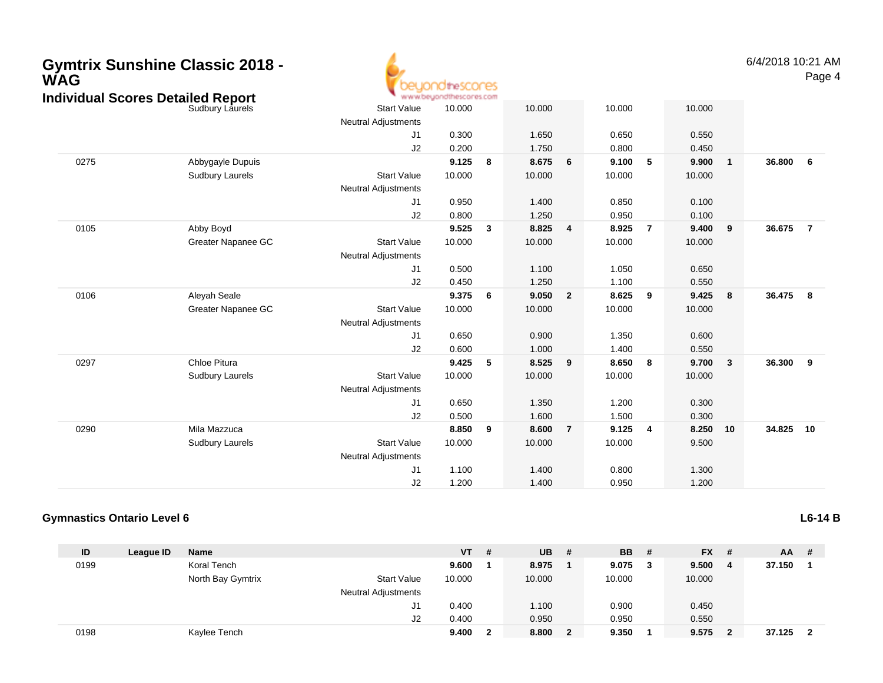| WAG  | <b>Gymtrix Sunshine Classic 2018 -</b>                      |                                                  | idthe SCONES<br>www.beyondthescores.com |              |                |                         |                |                |                |                         | 6/4/2018 10:21 | Pag            |
|------|-------------------------------------------------------------|--------------------------------------------------|-----------------------------------------|--------------|----------------|-------------------------|----------------|----------------|----------------|-------------------------|----------------|----------------|
|      | <b>Individual Scores Detailed Report</b><br>Sudbury Laurels | <b>Start Value</b><br><b>Neutral Adjustments</b> | 10.000                                  |              | 10.000         |                         | 10.000         |                | 10.000         |                         |                |                |
|      |                                                             | J <sub>1</sub><br>J <sub>2</sub>                 | 0.300<br>0.200                          |              | 1.650<br>1.750 |                         | 0.650<br>0.800 |                | 0.550<br>0.450 |                         |                |                |
| 0275 | Abbygayle Dupuis                                            |                                                  | 9.125                                   | 8            | 8.675          | 6                       | 9.100          | 5              | 9.900          | $\overline{\mathbf{1}}$ | 36.800         | 6              |
|      | <b>Sudbury Laurels</b>                                      | <b>Start Value</b><br><b>Neutral Adjustments</b> | 10.000                                  |              | 10.000         |                         | 10.000         |                | 10.000         |                         |                |                |
|      |                                                             | J1                                               | 0.950                                   |              | 1.400          |                         | 0.850          |                | 0.100          |                         |                |                |
|      |                                                             | J2                                               | 0.800                                   |              | 1.250          |                         | 0.950          |                | 0.100          |                         |                |                |
| 0105 | Abby Boyd                                                   |                                                  | 9.525                                   | $\mathbf{3}$ | 8.825          | $\overline{\mathbf{4}}$ | 8.925          | $\overline{7}$ | 9.400          | 9                       | 36.675         | $\overline{7}$ |
|      | Greater Napanee GC                                          | <b>Start Value</b><br><b>Neutral Adjustments</b> | 10.000                                  |              | 10.000         |                         | 10.000         |                | 10.000         |                         |                |                |
|      |                                                             | J1                                               | 0.500                                   |              | 1.100          |                         | 1.050          |                | 0.650          |                         |                |                |
|      |                                                             | J2                                               | 0.450                                   |              | 1.250          |                         | 1.100          |                | 0.550          |                         |                |                |
| 0106 | Aleyah Seale                                                |                                                  | 9.375                                   | 6            | 9.050          | $\overline{2}$          | 8.625          | 9              | 9.425          | 8                       | 36.475         | - 8            |
|      | Greater Napanee GC                                          | <b>Start Value</b><br><b>Neutral Adjustments</b> | 10.000                                  |              | 10.000         |                         | 10.000         |                | 10.000         |                         |                |                |
|      |                                                             | J <sub>1</sub>                                   | 0.650                                   |              | 0.900          |                         | 1.350          |                | 0.600          |                         |                |                |
|      |                                                             | J2                                               | 0.600                                   |              | 1.000          |                         | 1.400          |                | 0.550          |                         |                |                |
| 0297 | Chloe Pitura                                                |                                                  | 9.425                                   | 5            | 8.525          | 9                       | 8.650          | 8              | 9.700          | $\mathbf{3}$            | 36.300         | 9              |
|      | Sudbury Laurels                                             | <b>Start Value</b><br><b>Neutral Adjustments</b> | 10.000                                  |              | 10.000         |                         | 10.000         |                | 10.000         |                         |                |                |
|      |                                                             | J <sub>1</sub>                                   | 0.650                                   |              | 1.350          |                         | 1.200          |                | 0.300          |                         |                |                |
|      |                                                             | J2                                               | 0.500                                   |              | 1.600          |                         | 1.500          |                | 0.300          |                         |                |                |
| 0290 | Mila Mazzuca                                                |                                                  | 8.850                                   | 9            | 8.600          | $\overline{7}$          | 9.125          | 4              | 8.250          | 10                      | 34.825         | 10             |
|      | <b>Sudbury Laurels</b>                                      | <b>Start Value</b>                               | 10.000                                  |              | 10.000         |                         | 10.000         |                | 9.500          |                         |                |                |
|      |                                                             | <b>Neutral Adjustments</b>                       |                                         |              |                |                         |                |                |                |                         |                |                |
|      |                                                             | J1                                               | 1.100                                   |              | 1.400          |                         | 0.800          |                | 1.300          |                         |                |                |
|      |                                                             | J2                                               | 1.200                                   |              | 1.400          |                         | 0.950          |                | 1.200          |                         |                |                |

#### **Gymnastics Ontario Level 6L6-14 B**

| ID   | League ID | <b>Name</b>       |                            | <b>VT</b> | # | UB     | # | BB.    |   | $FX$ # |   | $AA$ # |                         |
|------|-----------|-------------------|----------------------------|-----------|---|--------|---|--------|---|--------|---|--------|-------------------------|
| 0199 |           | Koral Tench       |                            | 9.600     |   | 8.975  |   | 9.075  | 3 | 9.500  | 4 | 37.150 |                         |
|      |           | North Bay Gymtrix | <b>Start Value</b>         | 10.000    |   | 10.000 |   | 10.000 |   | 10.000 |   |        |                         |
|      |           |                   | <b>Neutral Adjustments</b> |           |   |        |   |        |   |        |   |        |                         |
|      |           |                   | J1                         | 0.400     |   | 1.100  |   | 0.900  |   | 0.450  |   |        |                         |
|      |           |                   | J2                         | 0.400     |   | 0.950  |   | 0.950  |   | 0.550  |   |        |                         |
| 0198 |           | Kaylee Tench      |                            | 9.400     |   | 8.800  | 2 | 9.350  |   | 9.575  | 2 | 37.125 | $\overline{\mathbf{2}}$ |

### AM Page 4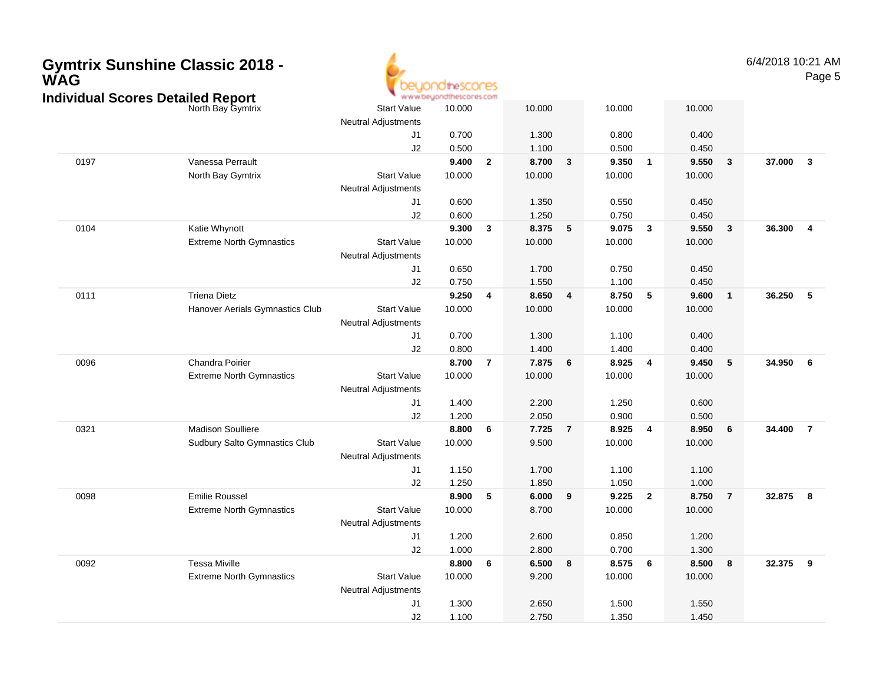| <b>Gymtrix Sunshine Classic 2018 -</b><br><b>WAG</b><br><b>Individual Scores Detailed Report</b> |                                                        |                                                  | www.beyondthescores.com |                |                 |                |                 |                         |                 |                 | 6/4/2018 10:21 AM        | Page 5                  |
|--------------------------------------------------------------------------------------------------|--------------------------------------------------------|--------------------------------------------------|-------------------------|----------------|-----------------|----------------|-----------------|-------------------------|-----------------|-----------------|--------------------------|-------------------------|
|                                                                                                  | North Bay Gymtrix                                      | <b>Start Value</b>                               | 10.000                  |                | 10.000          |                | 10.000          |                         | 10.000          |                 |                          |                         |
|                                                                                                  |                                                        | <b>Neutral Adjustments</b><br>J1                 | 0.700                   |                | 1.300           |                | 0.800           |                         | 0.400           |                 |                          |                         |
|                                                                                                  |                                                        | J2                                               | 0.500                   |                | 1.100           |                | 0.500           |                         | 0.450           |                 |                          |                         |
| 0197                                                                                             | Vanessa Perrault                                       |                                                  | 9.400                   | $\overline{2}$ | 8.700           | $\mathbf{3}$   | 9.350           | $\overline{1}$          | 9.550           | $\mathbf{3}$    | 37.000                   | $\overline{\mathbf{3}}$ |
|                                                                                                  | North Bay Gymtrix                                      | <b>Start Value</b><br><b>Neutral Adjustments</b> | 10.000                  |                | 10.000          |                | 10.000          |                         | 10.000          |                 |                          |                         |
|                                                                                                  |                                                        | J1                                               | 0.600                   |                | 1.350           |                | 0.550           |                         | 0.450           |                 |                          |                         |
|                                                                                                  |                                                        | J2                                               | 0.600                   |                | 1.250           |                | 0.750           |                         | 0.450           |                 |                          |                         |
| 0104                                                                                             | Katie Whynott                                          |                                                  | 9.300                   | $\mathbf{3}$   | 8.375           | 5              | 9.075           | $\overline{\mathbf{3}}$ | 9.550           | $\mathbf{3}$    | 36.300<br>$\overline{4}$ |                         |
|                                                                                                  | <b>Extreme North Gymnastics</b>                        | <b>Start Value</b><br><b>Neutral Adjustments</b> | 10.000                  |                | 10.000          |                | 10.000          |                         | 10.000          |                 |                          |                         |
|                                                                                                  |                                                        | J1                                               | 0.650                   |                | 1.700           |                | 0.750           |                         | 0.450           |                 |                          |                         |
|                                                                                                  |                                                        | J2                                               | 0.750                   |                | 1.550           |                | 1.100           |                         | 0.450           |                 |                          |                         |
| 0111                                                                                             | <b>Triena Dietz</b><br>Hanover Aerials Gymnastics Club | <b>Start Value</b>                               | 9.250<br>10.000         | $\overline{4}$ | 8.650<br>10.000 | 4              | 8.750<br>10.000 | - 5                     | 9.600<br>10.000 | $\mathbf{1}$    | 36.250                   | 5                       |
|                                                                                                  |                                                        | <b>Neutral Adjustments</b>                       |                         |                |                 |                | 1.100           |                         | 0.400           |                 |                          |                         |
|                                                                                                  |                                                        | J1<br>J2                                         | 0.700<br>0.800          |                | 1.300<br>1.400  |                | 1.400           |                         | 0.400           |                 |                          |                         |
| 0096                                                                                             | Chandra Poirier                                        |                                                  | 8.700                   | $\overline{7}$ | 7.875           | 6              | 8.925           | $\overline{\mathbf{4}}$ | 9.450           | $5\phantom{.0}$ | 34.950                   | - 6                     |
|                                                                                                  | <b>Extreme North Gymnastics</b>                        | <b>Start Value</b><br><b>Neutral Adjustments</b> | 10.000                  |                | 10.000          |                | 10.000          |                         | 10.000          |                 |                          |                         |
|                                                                                                  |                                                        | J1                                               | 1.400                   |                | 2.200           |                | 1.250           |                         | 0.600           |                 |                          |                         |
|                                                                                                  |                                                        | J2                                               | 1.200                   |                | 2.050           |                | 0.900           |                         | 0.500           |                 |                          |                         |
| 0321                                                                                             | <b>Madison Soulliere</b>                               |                                                  | 8.800                   | 6              | 7.725           | $\overline{7}$ | 8.925           | $\overline{4}$          | 8.950           | 6               | 34.400<br>$\overline{7}$ |                         |
|                                                                                                  | Sudbury Salto Gymnastics Club                          | <b>Start Value</b><br><b>Neutral Adjustments</b> | 10.000                  |                | 9.500           |                | 10.000          |                         | 10.000          |                 |                          |                         |
|                                                                                                  |                                                        | J1                                               | 1.150                   |                | 1.700           |                | 1.100           |                         | 1.100           |                 |                          |                         |
|                                                                                                  |                                                        | J2                                               | 1.250                   |                | 1.850           |                | 1.050           |                         | 1.000           |                 |                          |                         |
| 0098                                                                                             | <b>Emilie Roussel</b>                                  |                                                  | 8.900                   | 5              | 6.000           | 9              | 9.225           | $\overline{\mathbf{2}}$ | 8.750           | $\overline{7}$  | 32.875                   | 8                       |
|                                                                                                  | <b>Extreme North Gymnastics</b>                        | <b>Start Value</b><br><b>Neutral Adjustments</b> | 10.000                  |                | 8.700           |                | 10.000          |                         | 10.000          |                 |                          |                         |
|                                                                                                  |                                                        | J1                                               | 1.200                   |                | 2.600           |                | 0.850           |                         | 1.200           |                 |                          |                         |
| 0092                                                                                             | <b>Tessa Miville</b>                                   | J2                                               | 1.000<br>8.800          | 6              | 2.800<br>6.500  | 8              | 0.700<br>8.575  | $6\phantom{.0}6$        | 1.300<br>8.500  | 8               | 32.375<br>- 9            |                         |
|                                                                                                  | <b>Extreme North Gymnastics</b>                        | <b>Start Value</b><br><b>Neutral Adjustments</b> | 10.000                  |                | 9.200           |                | 10.000          |                         | 10.000          |                 |                          |                         |
|                                                                                                  |                                                        | J1                                               | 1.300                   |                | 2.650           |                | 1.500           |                         | 1.550           |                 |                          |                         |
|                                                                                                  |                                                        | J2                                               | 1.100                   |                | 2.750           |                | 1.350           |                         | 1.450           |                 |                          |                         |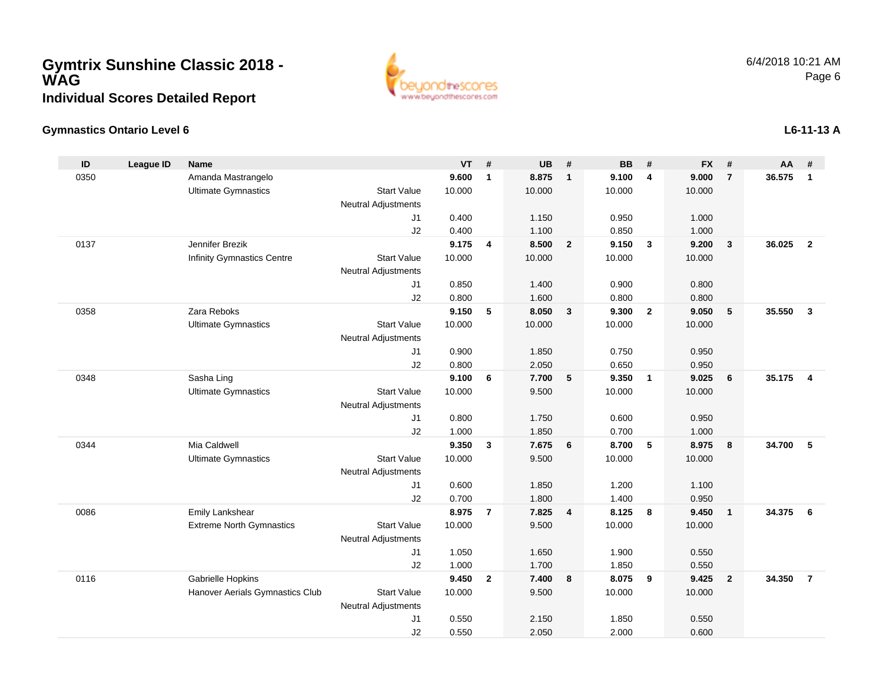## **Gymtrix Sunshine Classic 2018 - WAGIndividual Scores Detailed Report**



### **Gymnastics Ontario Level 6**

| ID   | <b>League ID</b> | <b>Name</b>                       |                            | <b>VT</b>      | #              | <b>UB</b>      | #                       | <b>BB</b>      | #                       | <b>FX</b>      | #              | $AA$ # |                |
|------|------------------|-----------------------------------|----------------------------|----------------|----------------|----------------|-------------------------|----------------|-------------------------|----------------|----------------|--------|----------------|
| 0350 |                  | Amanda Mastrangelo                |                            | 9.600          | $\mathbf{1}$   | 8.875          | $\overline{1}$          | 9.100          | $\overline{4}$          | 9.000          | $\overline{7}$ | 36.575 | $\mathbf{1}$   |
|      |                  | <b>Ultimate Gymnastics</b>        | <b>Start Value</b>         | 10.000         |                | 10.000         |                         | 10.000         |                         | 10.000         |                |        |                |
|      |                  |                                   | <b>Neutral Adjustments</b> |                |                |                |                         |                |                         |                |                |        |                |
|      |                  |                                   | J <sub>1</sub>             | 0.400          |                | 1.150          |                         | 0.950          |                         | 1.000          |                |        |                |
|      |                  |                                   | J2                         | 0.400          |                | 1.100          |                         | 0.850          |                         | 1.000          |                |        |                |
| 0137 |                  | Jennifer Brezik                   |                            | 9.175          | 4              | 8.500          | $\overline{\mathbf{2}}$ | 9.150          | $\overline{\mathbf{3}}$ | 9.200          | 3              | 36.025 | $\overline{2}$ |
|      |                  | <b>Infinity Gymnastics Centre</b> | <b>Start Value</b>         | 10.000         |                | 10.000         |                         | 10.000         |                         | 10.000         |                |        |                |
|      |                  |                                   | <b>Neutral Adjustments</b> |                |                |                |                         |                |                         |                |                |        |                |
|      |                  |                                   | J1                         | 0.850          |                | 1.400          |                         | 0.900          |                         | 0.800          |                |        |                |
|      |                  |                                   | J2                         | 0.800          |                | 1.600          |                         | 0.800          |                         | 0.800          |                |        |                |
| 0358 |                  | Zara Reboks                       |                            | 9.150          | 5              | 8.050          | $\mathbf{3}$            | 9.300          | $\overline{2}$          | 9.050          | $\sqrt{5}$     | 35.550 | $\mathbf{3}$   |
|      |                  | <b>Ultimate Gymnastics</b>        | <b>Start Value</b>         | 10.000         |                | 10.000         |                         | 10.000         |                         | 10.000         |                |        |                |
|      |                  |                                   | Neutral Adjustments        |                |                |                |                         |                |                         |                |                |        |                |
|      |                  |                                   | J1                         | 0.900          |                | 1.850          |                         | 0.750          |                         | 0.950          |                |        |                |
|      |                  |                                   | J2                         | 0.800          |                | 2.050          |                         | 0.650          |                         | 0.950          |                |        |                |
| 0348 |                  | Sasha Ling                        |                            | 9.100          | 6              | 7.700          | 5                       | 9.350          | $\overline{1}$          | 9.025          | 6              | 35.175 | $\overline{4}$ |
|      |                  | <b>Ultimate Gymnastics</b>        | <b>Start Value</b>         | 10.000         |                | 9.500          |                         | 10.000         |                         | 10.000         |                |        |                |
|      |                  |                                   | <b>Neutral Adjustments</b> |                |                |                |                         |                |                         |                |                |        |                |
|      |                  |                                   | J1                         | 0.800          |                | 1.750          |                         | 0.600          |                         | 0.950          |                |        |                |
|      |                  |                                   | J2                         | 1.000          |                | 1.850          |                         | 0.700          |                         | 1.000          |                |        |                |
| 0344 |                  | Mia Caldwell                      |                            | 9.350          | $\mathbf{3}$   | 7.675          | $6\phantom{1}6$         | 8.700          | 5                       | 8.975          | 8              | 34.700 | 5              |
|      |                  | <b>Ultimate Gymnastics</b>        | <b>Start Value</b>         | 10.000         |                | 9.500          |                         | 10.000         |                         | 10.000         |                |        |                |
|      |                  |                                   | <b>Neutral Adjustments</b> |                |                |                |                         |                |                         |                |                |        |                |
|      |                  |                                   | J1                         | 0.600          |                | 1.850          |                         | 1.200          |                         | 1.100          |                |        |                |
|      |                  |                                   | J2                         | 0.700          |                | 1.800          |                         | 1.400          |                         | 0.950          |                |        |                |
| 0086 |                  | Emily Lankshear                   |                            | 8.975          | $\overline{7}$ | 7.825          | $\overline{\mathbf{4}}$ | 8.125          | 8                       | 9.450          | $\mathbf{1}$   | 34.375 | 6              |
|      |                  | <b>Extreme North Gymnastics</b>   | <b>Start Value</b>         | 10.000         |                | 9.500          |                         | 10.000         |                         | 10.000         |                |        |                |
|      |                  |                                   | <b>Neutral Adjustments</b> |                |                |                |                         |                |                         |                |                |        |                |
|      |                  |                                   | J1                         | 1.050          |                | 1.650          |                         | 1.900          |                         | 0.550          |                |        |                |
| 0116 |                  | Gabrielle Hopkins                 | J2                         | 1.000<br>9.450 | $\mathbf{2}$   | 1.700<br>7.400 | $\boldsymbol{8}$        | 1.850<br>8.075 | 9                       | 0.550<br>9.425 | $\overline{2}$ | 34.350 | $\overline{7}$ |
|      |                  | Hanover Aerials Gymnastics Club   | <b>Start Value</b>         | 10.000         |                | 9.500          |                         | 10.000         |                         | 10.000         |                |        |                |
|      |                  |                                   | <b>Neutral Adjustments</b> |                |                |                |                         |                |                         |                |                |        |                |
|      |                  |                                   | J1                         | 0.550          |                | 2.150          |                         | 1.850          |                         | 0.550          |                |        |                |
|      |                  |                                   | J2                         | 0.550          |                | 2.050          |                         | 2.000          |                         | 0.600          |                |        |                |
|      |                  |                                   |                            |                |                |                |                         |                |                         |                |                |        |                |

### **L6-11-13 A**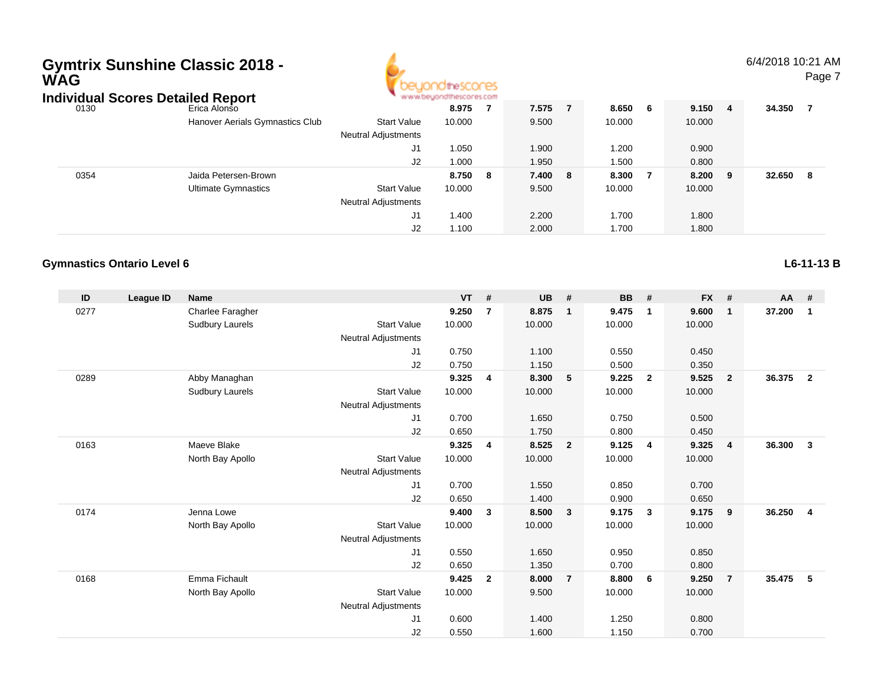# **Gymtrix Sunshine Classic 2018 - WAG**



6/4/2018 10:21 AMPage 7

| Individual Scores Detailed Report |                                 | www.beyondthescores.com    |        |     |       |    |        |   |         |        |   |
|-----------------------------------|---------------------------------|----------------------------|--------|-----|-------|----|--------|---|---------|--------|---|
| 0130                              | Erica Alonso                    |                            | 8.975  |     | 7.575 |    | 8.650  | 6 | 9.150 4 | 34.350 |   |
|                                   | Hanover Aerials Gymnastics Club | <b>Start Value</b>         | 10.000 |     | 9.500 |    | 10.000 |   | 10.000  |        |   |
|                                   |                                 | <b>Neutral Adjustments</b> |        |     |       |    |        |   |         |        |   |
|                                   |                                 | J1                         | 1.050  |     | 1.900 |    | .200   |   | 0.900   |        |   |
|                                   |                                 | J2                         | 1.000  |     | 1.950 |    | 1.500  |   | 0.800   |        |   |
| 0354                              | Jaida Petersen-Brown            |                            | 8.750  | - 8 | 7.400 | -8 | 8.300  | 7 | 8.200 9 | 32.650 | 8 |
|                                   | Ultimate Gymnastics             | <b>Start Value</b>         | 10.000 |     | 9.500 |    | 10.000 |   | 10.000  |        |   |
|                                   |                                 | <b>Neutral Adjustments</b> |        |     |       |    |        |   |         |        |   |
|                                   |                                 | J1                         | 1.400  |     | 2.200 |    | 1.700  |   | 1.800   |        |   |
|                                   |                                 | J2                         | 1.100  |     | 2.000 |    | 1.700  |   | 1.800   |        |   |

### **Gymnastics Ontario Level 6**

| ID   | League ID | <b>Name</b>            |                            | VT     | #              | <b>UB</b> | #                       | BB     | #                       | <b>FX</b> | #              | <b>AA</b> | #                       |
|------|-----------|------------------------|----------------------------|--------|----------------|-----------|-------------------------|--------|-------------------------|-----------|----------------|-----------|-------------------------|
| 0277 |           | Charlee Faragher       |                            | 9.250  | $\overline{7}$ | 8.875     | $\overline{1}$          | 9.475  | $\mathbf{1}$            | 9.600     | $\mathbf{1}$   | 37.200    | 1                       |
|      |           | Sudbury Laurels        | <b>Start Value</b>         | 10.000 |                | 10.000    |                         | 10.000 |                         | 10.000    |                |           |                         |
|      |           |                        | Neutral Adjustments        |        |                |           |                         |        |                         |           |                |           |                         |
|      |           |                        | J <sub>1</sub>             | 0.750  |                | 1.100     |                         | 0.550  |                         | 0.450     |                |           |                         |
|      |           |                        | J <sub>2</sub>             | 0.750  |                | 1.150     |                         | 0.500  |                         | 0.350     |                |           |                         |
| 0289 |           | Abby Managhan          |                            | 9.325  | 4              | 8.300     | $-5$                    | 9.225  | $\overline{\mathbf{2}}$ | 9.525     | $\mathbf{2}$   | 36.375    | $\overline{\mathbf{2}}$ |
|      |           | <b>Sudbury Laurels</b> | <b>Start Value</b>         | 10.000 |                | 10.000    |                         | 10.000 |                         | 10.000    |                |           |                         |
|      |           |                        | <b>Neutral Adjustments</b> |        |                |           |                         |        |                         |           |                |           |                         |
|      |           |                        | J <sub>1</sub>             | 0.700  |                | 1.650     |                         | 0.750  |                         | 0.500     |                |           |                         |
|      |           |                        | J2                         | 0.650  |                | 1.750     |                         | 0.800  |                         | 0.450     |                |           |                         |
| 0163 |           | Maeve Blake            |                            | 9.325  | 4              | 8.525     | $\overline{\mathbf{2}}$ | 9.125  | $\overline{4}$          | 9.325     | 4              | 36.300    | $\mathbf{3}$            |
|      |           | North Bay Apollo       | <b>Start Value</b>         | 10.000 |                | 10.000    |                         | 10.000 |                         | 10.000    |                |           |                         |
|      |           |                        | <b>Neutral Adjustments</b> |        |                |           |                         |        |                         |           |                |           |                         |
|      |           |                        | J <sub>1</sub>             | 0.700  |                | 1.550     |                         | 0.850  |                         | 0.700     |                |           |                         |
|      |           |                        | J <sub>2</sub>             | 0.650  |                | 1.400     |                         | 0.900  |                         | 0.650     |                |           |                         |
| 0174 |           | Jenna Lowe             |                            | 9.400  | $\mathbf{3}$   | 8.500     | $\overline{\mathbf{3}}$ | 9.175  | $\mathbf{3}$            | 9.175     | 9              | 36.250    | $\overline{4}$          |
|      |           | North Bay Apollo       | <b>Start Value</b>         | 10.000 |                | 10.000    |                         | 10.000 |                         | 10.000    |                |           |                         |
|      |           |                        | <b>Neutral Adjustments</b> |        |                |           |                         |        |                         |           |                |           |                         |
|      |           |                        | J <sub>1</sub>             | 0.550  |                | 1.650     |                         | 0.950  |                         | 0.850     |                |           |                         |
|      |           |                        | J2                         | 0.650  |                | 1.350     |                         | 0.700  |                         | 0.800     |                |           |                         |
| 0168 |           | Emma Fichault          |                            | 9.425  | $\overline{2}$ | 8.000     | $\overline{7}$          | 8.800  | 6                       | 9.250     | $\overline{7}$ | 35.475    | 5                       |
|      |           | North Bay Apollo       | <b>Start Value</b>         | 10.000 |                | 9.500     |                         | 10.000 |                         | 10.000    |                |           |                         |
|      |           |                        | <b>Neutral Adjustments</b> |        |                |           |                         |        |                         |           |                |           |                         |
|      |           |                        | J1                         | 0.600  |                | 1.400     |                         | 1.250  |                         | 0.800     |                |           |                         |
|      |           |                        | J <sub>2</sub>             | 0.550  |                | 1.600     |                         | 1.150  |                         | 0.700     |                |           |                         |

**L6-11-13 B**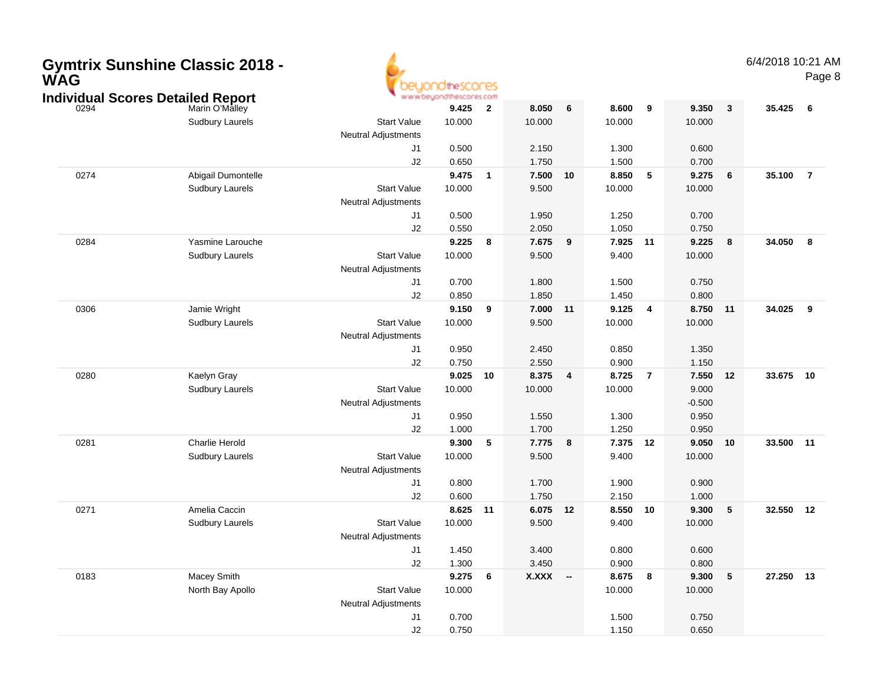| WAG  | <b>Gymtrix Sunshine Classic 2018 -</b><br><b>Individual Scores Detailed Report</b> |                                                  | <b>Idhescores</b><br>www.beyondthescores.com |                          |                 |                         |                 |                         |                 |              | 6/4/2018 10:21 AM | Page 8                  |
|------|------------------------------------------------------------------------------------|--------------------------------------------------|----------------------------------------------|--------------------------|-----------------|-------------------------|-----------------|-------------------------|-----------------|--------------|-------------------|-------------------------|
| 0294 | Marin O'Malley<br><b>Sudbury Laurels</b>                                           | <b>Start Value</b>                               | 9.425<br>10.000                              | $\overline{\mathbf{2}}$  | 8.050<br>10.000 | 6                       | 8.600<br>10.000 | 9                       | 9.350<br>10.000 | $\mathbf{3}$ | 35.425            | - 6                     |
|      |                                                                                    | <b>Neutral Adjustments</b>                       |                                              |                          |                 |                         |                 |                         |                 |              |                   |                         |
|      |                                                                                    | J1                                               | 0.500                                        |                          | 2.150           |                         | 1.300           |                         | 0.600           |              |                   |                         |
|      |                                                                                    | J2                                               | 0.650                                        |                          | 1.750           |                         | 1.500           |                         | 0.700           |              |                   |                         |
| 0274 | Abigail Dumontelle                                                                 |                                                  | 9.475                                        | $\overline{\mathbf{1}}$  | 7.500           | 10                      | 8.850           | 5                       | 9.275           | 6            | 35.100            | $\overline{7}$          |
|      | <b>Sudbury Laurels</b>                                                             | <b>Start Value</b><br><b>Neutral Adjustments</b> | 10.000                                       |                          | 9.500           |                         | 10.000          |                         | 10.000          |              |                   |                         |
|      |                                                                                    | J1                                               | 0.500                                        |                          | 1.950           |                         | 1.250           |                         | 0.700           |              |                   |                         |
|      |                                                                                    | J2                                               | 0.550                                        |                          | 2.050           |                         | 1.050           |                         | 0.750           |              |                   |                         |
| 0284 | Yasmine Larouche                                                                   |                                                  | 9.225                                        | $\overline{\mathbf{8}}$  | 7.675           | 9                       | 7.925           | 11                      | 9.225           | 8            | 34.050            | 8                       |
|      | <b>Sudbury Laurels</b>                                                             | <b>Start Value</b><br><b>Neutral Adjustments</b> | 10.000                                       |                          | 9.500           |                         | 9.400           |                         | 10.000          |              |                   |                         |
|      |                                                                                    | J1                                               | 0.700                                        |                          | 1.800           |                         | 1.500           |                         | 0.750           |              |                   |                         |
|      |                                                                                    | J2                                               | 0.850                                        |                          | 1.850           |                         | 1.450           |                         | 0.800           |              |                   |                         |
| 0306 | Jamie Wright                                                                       |                                                  | 9.150                                        | - 9                      | 7.000           | 11                      | 9.125           | $\overline{\mathbf{4}}$ | 8.750           | 11           | 34.025            | $\overline{\mathbf{9}}$ |
|      | <b>Sudbury Laurels</b>                                                             | <b>Start Value</b><br><b>Neutral Adjustments</b> | 10.000                                       |                          | 9.500           |                         | 10.000          |                         | 10.000          |              |                   |                         |
|      |                                                                                    | J1                                               | 0.950                                        |                          | 2.450           |                         | 0.850           |                         | 1.350           |              |                   |                         |
|      |                                                                                    | J2                                               | 0.750                                        |                          | 2.550           |                         | 0.900           |                         | 1.150           |              |                   |                         |
| 0280 | Kaelyn Gray                                                                        |                                                  | 9.025                                        | 10                       | 8.375           | $\overline{\mathbf{4}}$ | 8.725           | $\overline{7}$          | 7.550           | 12           | 33.675 10         |                         |
|      | <b>Sudbury Laurels</b>                                                             | <b>Start Value</b>                               | 10.000                                       |                          | 10.000          |                         | 10.000          |                         | 9.000           |              |                   |                         |
|      |                                                                                    | <b>Neutral Adjustments</b>                       |                                              |                          |                 |                         |                 |                         | $-0.500$        |              |                   |                         |
|      |                                                                                    | J1                                               | 0.950                                        |                          | 1.550           |                         | 1.300           |                         | 0.950           |              |                   |                         |
|      |                                                                                    | J2                                               | 1.000                                        |                          | 1.700           |                         | 1.250           |                         | 0.950           |              |                   |                         |
| 0281 | Charlie Herold                                                                     | <b>Start Value</b>                               | 9.300<br>10.000                              | $\overline{\phantom{0}}$ | 7.775           | 8                       | 7.375<br>9.400  | 12                      | 9.050<br>10.000 | 10           | 33.500 11         |                         |
|      | <b>Sudbury Laurels</b>                                                             | <b>Neutral Adjustments</b>                       |                                              |                          | 9.500           |                         |                 |                         |                 |              |                   |                         |
|      |                                                                                    | J1                                               | 0.800                                        |                          | 1.700           |                         | 1.900           |                         | 0.900           |              |                   |                         |
|      |                                                                                    | J2                                               | 0.600                                        |                          | 1.750           |                         | 2.150           |                         | 1.000           |              |                   |                         |
| 0271 | Amelia Caccin                                                                      |                                                  | 8.625 11                                     |                          | 6.075 12        |                         | 8.550           | 10                      | 9.300           | 5            | 32.550 12         |                         |
|      | <b>Sudbury Laurels</b>                                                             | <b>Start Value</b>                               | 10.000                                       |                          | 9.500           |                         | 9.400           |                         | 10.000          |              |                   |                         |
|      |                                                                                    | <b>Neutral Adjustments</b>                       |                                              |                          |                 |                         |                 |                         |                 |              |                   |                         |
|      |                                                                                    | J1                                               | 1.450                                        |                          | 3.400           |                         | 0.800           |                         | 0.600           |              |                   |                         |
|      |                                                                                    | J2                                               | 1.300                                        |                          | 3.450           |                         | 0.900           |                         | 0.800           |              |                   |                         |
| 0183 | Macey Smith                                                                        |                                                  | 9.2756                                       |                          | X.XXX --        |                         | 8.675 8         |                         | 9.300           | $\sqrt{5}$   | 27.250 13         |                         |
|      | North Bay Apollo                                                                   | <b>Start Value</b>                               | 10.000                                       |                          |                 |                         | 10.000          |                         | 10.000          |              |                   |                         |
|      |                                                                                    | Neutral Adjustments                              |                                              |                          |                 |                         |                 |                         |                 |              |                   |                         |
|      |                                                                                    | J1                                               | 0.700                                        |                          |                 |                         | 1.500           |                         | 0.750           |              |                   |                         |
|      |                                                                                    | $\sf J2$                                         | 0.750                                        |                          |                 |                         | 1.150           |                         | 0.650           |              |                   |                         |